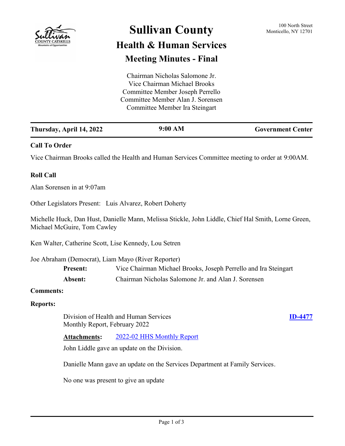

# **Sullivan County** 100 North Street 100 North Street

## **Health & Human Services Meeting Minutes - Final**

Chairman Nicholas Salomone Jr. Vice Chairman Michael Brooks Committee Member Joseph Perrello Committee Member Alan J. Sorensen Committee Member Ira Steingart

| Thursday, April 14, 2022 | 9:00 AM | <b>Government Center</b> |
|--------------------------|---------|--------------------------|
|                          |         |                          |

### **Call To Order**

Vice Chairman Brooks called the Health and Human Services Committee meeting to order at 9:00AM.

#### **Roll Call**

Alan Sorensen in at 9:07am

Other Legislators Present: Luis Alvarez, Robert Doherty

Michelle Huck, Dan Hust, Danielle Mann, Melissa Stickle, John Liddle, Chief Hal Smith, Lorne Green, Michael McGuire, Tom Cawley

Ken Walter, Catherine Scott, Lise Kennedy, Lou Setren

Joe Abraham (Democrat), Liam Mayo (River Reporter)

| <b>Present:</b> | Vice Chairman Michael Brooks, Joseph Perrello and Ira Steingart |
|-----------------|-----------------------------------------------------------------|
| Absent:         | Chairman Nicholas Salomone Jr. and Alan J. Sorensen             |

#### **Comments:**

#### **Reports:**

Division of Health and Human Services Monthly Report, February 2022

## **[ID-4477](http://sullivancountyny.legistar.com/gateway.aspx?m=l&id=/matter.aspx?key=1503)**

**Attachments:** [2022-02 HHS Monthly Report](http://sullivancountyny.legistar.com/gateway.aspx?M=F&ID=1d15eee5-48e1-410e-b73c-5e6f9679ca19.docx)

John Liddle gave an update on the Division.

Danielle Mann gave an update on the Services Department at Family Services.

No one was present to give an update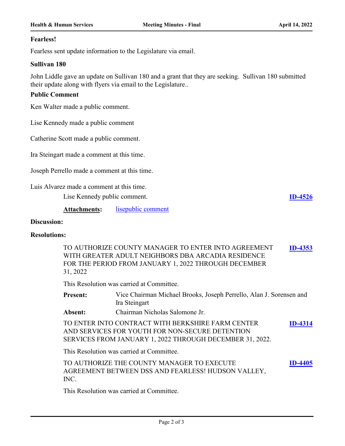#### **Fearless!**

Fearless sent update information to the Legislature via email.

#### **Sullivan 180**

John Liddle gave an update on Sullivan 180 and a grant that they are seeking. Sullivan 180 submitted their update along with flyers via email to the Legislature..

#### **Public Comment**

Ken Walter made a public comment.

Lise Kennedy made a public comment

Catherine Scott made a public comment.

Ira Steingart made a comment at this time.

Joseph Perrello made a comment at this time.

Luis Alvarez made a comment at this time.

Lise Kennedy public comment. **[ID-4526](http://sullivancountyny.legistar.com/gateway.aspx?m=l&id=/matter.aspx?key=1552)**

**Attachments:** [lisepublic comment](http://sullivancountyny.legistar.com/gateway.aspx?M=F&ID=8045ae2d-2523-421e-8eb3-ae2d6b40a420.pdf)

#### **Discussion:**

#### **Resolutions:**

TO AUTHORIZE COUNTY MANAGER TO ENTER INTO AGREEMENT WITH GREATER ADULT NEIGHBORS DBA ARCADIA RESIDENCE FOR THE PERIOD FROM JANUARY 1, 2022 THROUGH DECEMBER 31, 2022 **[ID-4353](http://sullivancountyny.legistar.com/gateway.aspx?m=l&id=/matter.aspx?key=1339)**

This Resolution was carried at Committee.

| <b>Present:</b> | Vice Chairman Michael Brooks, Joseph Perrello, Alan J. Sorensen and |
|-----------------|---------------------------------------------------------------------|
|                 | Ira Steingart                                                       |
| <b>Absent:</b>  | Chairman Nicholas Salomone Jr.                                      |

TO ENTER INTO CONTRACT WITH BERKSHIRE FARM CENTER AND SERVICES FOR YOUTH FOR NON-SECURE DETENTION SERVICES FROM JANUARY 1, 2022 THROUGH DECEMBER 31, 2022. **[ID-4314](http://sullivancountyny.legistar.com/gateway.aspx?m=l&id=/matter.aspx?key=1340)**

This Resolution was carried at Committee.

TO AUTHORIZE THE COUNTY MANAGER TO EXECUTE AGREEMENT BETWEEN DSS AND FEARLESS! HUDSON VALLEY, INC. **[ID-4405](http://sullivancountyny.legistar.com/gateway.aspx?m=l&id=/matter.aspx?key=1431)**

This Resolution was carried at Committee.